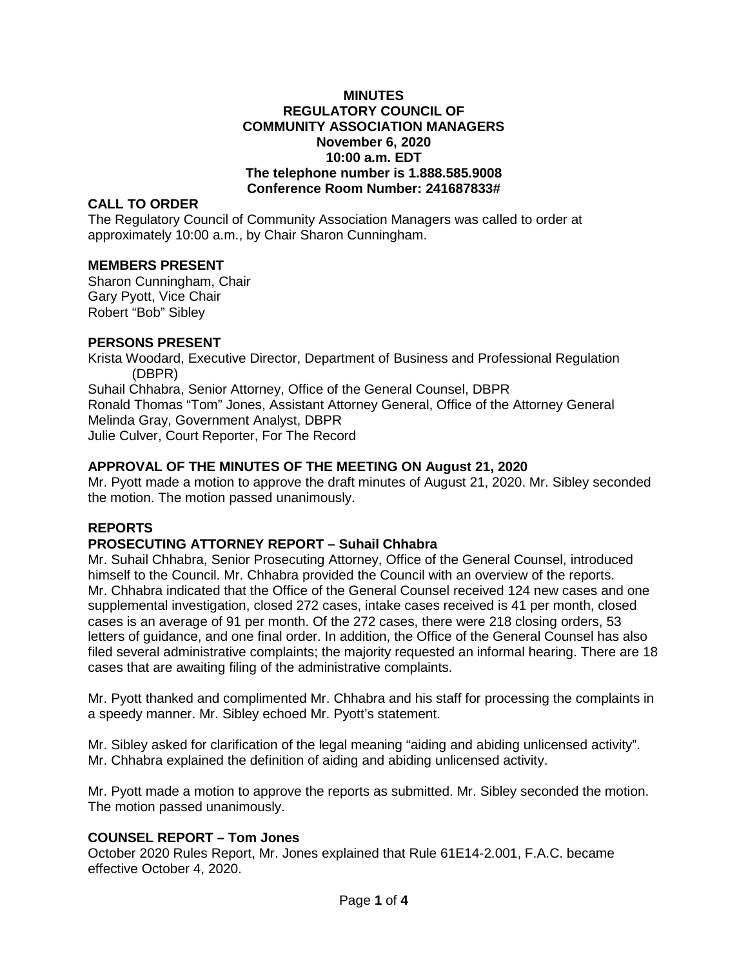## **MINUTES REGULATORY COUNCIL OF COMMUNITY ASSOCIATION MANAGERS November 6, 2020 10:00 a.m. EDT The telephone number is 1.888.585.9008 Conference Room Number: 241687833#**

# **CALL TO ORDER**

The Regulatory Council of Community Association Managers was called to order at approximately 10:00 a.m., by Chair Sharon Cunningham.

# **MEMBERS PRESENT**

Sharon Cunningham, Chair Gary Pyott, Vice Chair Robert "Bob" Sibley

## **PERSONS PRESENT**

Krista Woodard, Executive Director, Department of Business and Professional Regulation (DBPR) Suhail Chhabra, Senior Attorney, Office of the General Counsel, DBPR Ronald Thomas "Tom" Jones, Assistant Attorney General, Office of the Attorney General Melinda Gray, Government Analyst, DBPR Julie Culver, Court Reporter, For The Record

# **APPROVAL OF THE MINUTES OF THE MEETING ON August 21, 2020**

Mr. Pyott made a motion to approve the draft minutes of August 21, 2020. Mr. Sibley seconded the motion. The motion passed unanimously.

# **REPORTS**

# **PROSECUTING ATTORNEY REPORT – Suhail Chhabra**

Mr. Suhail Chhabra, Senior Prosecuting Attorney, Office of the General Counsel, introduced himself to the Council. Mr. Chhabra provided the Council with an overview of the reports. Mr. Chhabra indicated that the Office of the General Counsel received 124 new cases and one supplemental investigation, closed 272 cases, intake cases received is 41 per month, closed cases is an average of 91 per month. Of the 272 cases, there were 218 closing orders, 53 letters of guidance, and one final order. In addition, the Office of the General Counsel has also filed several administrative complaints; the majority requested an informal hearing. There are 18 cases that are awaiting filing of the administrative complaints.

Mr. Pyott thanked and complimented Mr. Chhabra and his staff for processing the complaints in a speedy manner. Mr. Sibley echoed Mr. Pyott's statement.

Mr. Sibley asked for clarification of the legal meaning "aiding and abiding unlicensed activity". Mr. Chhabra explained the definition of aiding and abiding unlicensed activity.

Mr. Pyott made a motion to approve the reports as submitted. Mr. Sibley seconded the motion. The motion passed unanimously.

# **COUNSEL REPORT – Tom Jones**

October 2020 Rules Report, Mr. Jones explained that Rule 61E14-2.001, F.A.C. became effective October 4, 2020.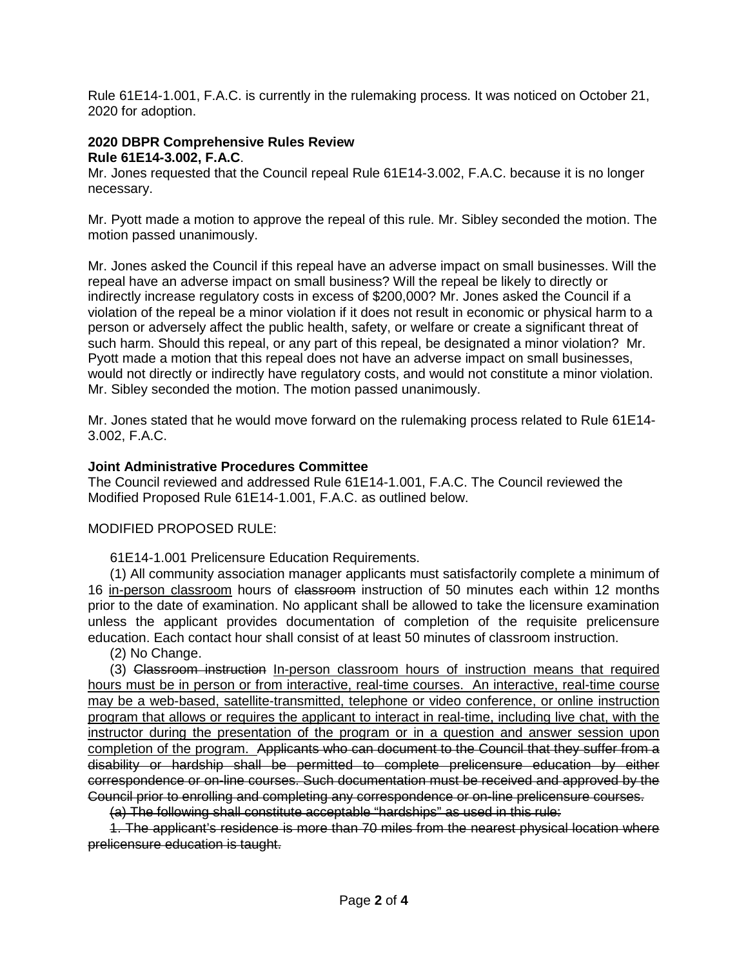Rule 61E14-1.001, F.A.C. is currently in the rulemaking process. It was noticed on October 21, 2020 for adoption.

# **2020 DBPR Comprehensive Rules Review**

**Rule 61E14-3.002, F.A.C**.

Mr. Jones requested that the Council repeal Rule 61E14-3.002, F.A.C. because it is no longer necessary.

Mr. Pyott made a motion to approve the repeal of this rule. Mr. Sibley seconded the motion. The motion passed unanimously.

Mr. Jones asked the Council if this repeal have an adverse impact on small businesses. Will the repeal have an adverse impact on small business? Will the repeal be likely to directly or indirectly increase regulatory costs in excess of \$200,000? Mr. Jones asked the Council if a violation of the repeal be a minor violation if it does not result in economic or physical harm to a person or adversely affect the public health, safety, or welfare or create a significant threat of such harm. Should this repeal, or any part of this repeal, be designated a minor violation? Mr. Pyott made a motion that this repeal does not have an adverse impact on small businesses, would not directly or indirectly have regulatory costs, and would not constitute a minor violation. Mr. Sibley seconded the motion. The motion passed unanimously.

Mr. Jones stated that he would move forward on the rulemaking process related to Rule 61E14- 3.002, F.A.C.

# **Joint Administrative Procedures Committee**

The Council reviewed and addressed Rule 61E14-1.001, F.A.C. The Council reviewed the Modified Proposed Rule 61E14-1.001, F.A.C. as outlined below.

# MODIFIED PROPOSED RULE:

61E14-1.001 Prelicensure Education Requirements.

(1) All community association manager applicants must satisfactorily complete a minimum of 16 in-person classroom hours of elassroom instruction of 50 minutes each within 12 months prior to the date of examination. No applicant shall be allowed to take the licensure examination unless the applicant provides documentation of completion of the requisite prelicensure education. Each contact hour shall consist of at least 50 minutes of classroom instruction.

(2) No Change.

(3) Classroom instruction In-person classroom hours of instruction means that required hours must be in person or from interactive, real-time courses. An interactive, real-time course may be a web-based, satellite-transmitted, telephone or video conference, or online instruction program that allows or requires the applicant to interact in real-time, including live chat, with the instructor during the presentation of the program or in a question and answer session upon completion of the program. Applicants who can document to the Council that they suffer from a disability or hardship shall be permitted to complete prelicensure education by either correspondence or on-line courses. Such documentation must be received and approved by the Council prior to enrolling and completing any correspondence or on-line prelicensure courses.

(a) The following shall constitute acceptable "hardships" as used in this rule:

1. The applicant's residence is more than 70 miles from the nearest physical location where prelicensure education is taught.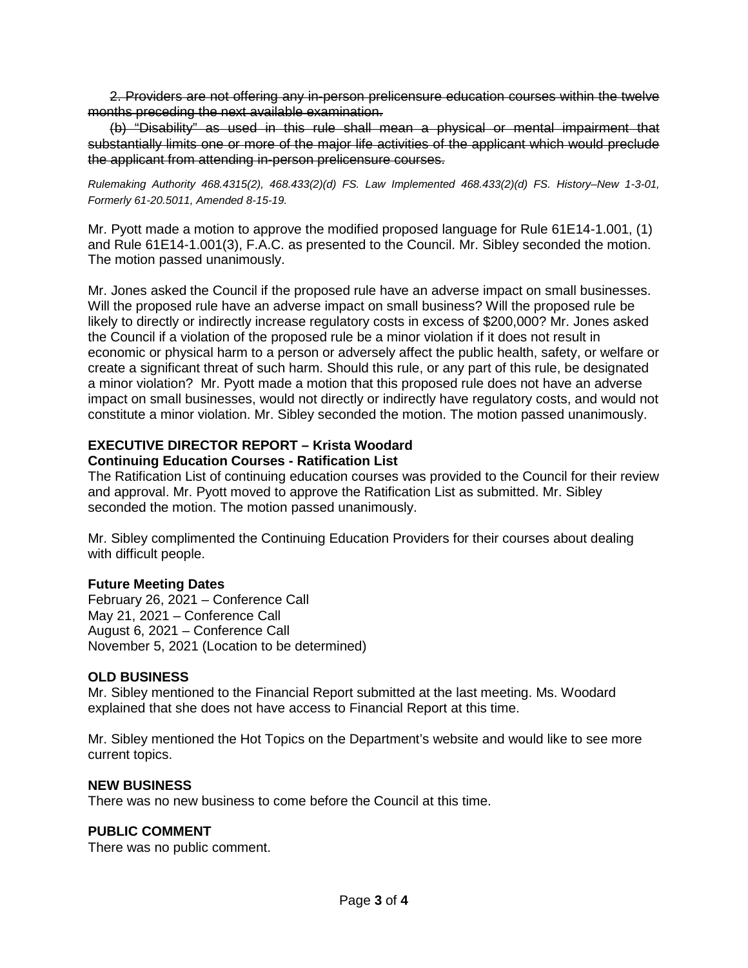2. Providers are not offering any in-person prelicensure education courses within the twelve months preceding the next available examination.

(b) "Disability" as used in this rule shall mean a physical or mental impairment that substantially limits one or more of the major life activities of the applicant which would preclude the applicant from attending in-person prelicensure courses.

*Rulemaking Authority 468.4315(2), 468.433(2)(d) FS. Law Implemented 468.433(2)(d) FS. History–New 1-3-01, Formerly 61-20.5011, Amended 8-15-19.*

Mr. Pyott made a motion to approve the modified proposed language for Rule 61E14-1.001, (1) and Rule 61E14-1.001(3), F.A.C. as presented to the Council. Mr. Sibley seconded the motion. The motion passed unanimously.

Mr. Jones asked the Council if the proposed rule have an adverse impact on small businesses. Will the proposed rule have an adverse impact on small business? Will the proposed rule be likely to directly or indirectly increase regulatory costs in excess of \$200,000? Mr. Jones asked the Council if a violation of the proposed rule be a minor violation if it does not result in economic or physical harm to a person or adversely affect the public health, safety, or welfare or create a significant threat of such harm. Should this rule, or any part of this rule, be designated a minor violation? Mr. Pyott made a motion that this proposed rule does not have an adverse impact on small businesses, would not directly or indirectly have regulatory costs, and would not constitute a minor violation. Mr. Sibley seconded the motion. The motion passed unanimously.

## **EXECUTIVE DIRECTOR REPORT – Krista Woodard Continuing Education Courses - Ratification List**

The Ratification List of continuing education courses was provided to the Council for their review and approval. Mr. Pyott moved to approve the Ratification List as submitted. Mr. Sibley seconded the motion. The motion passed unanimously.

Mr. Sibley complimented the Continuing Education Providers for their courses about dealing with difficult people.

# **Future Meeting Dates**

February 26, 2021 – Conference Call May 21, 2021 – Conference Call August 6, 2021 – Conference Call November 5, 2021 (Location to be determined)

# **OLD BUSINESS**

Mr. Sibley mentioned to the Financial Report submitted at the last meeting. Ms. Woodard explained that she does not have access to Financial Report at this time.

Mr. Sibley mentioned the Hot Topics on the Department's website and would like to see more current topics.

## **NEW BUSINESS**

There was no new business to come before the Council at this time.

## **PUBLIC COMMENT**

There was no public comment.